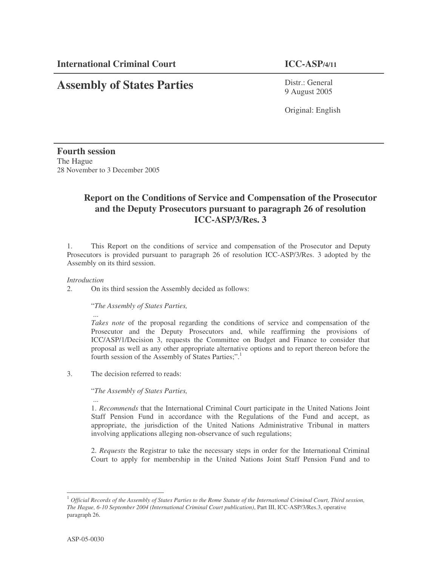# **Assembly of States Parties**

Distr.: General 9 August 2005

Original: English

**Fourth session** The Hague 28 November to 3 December 2005

## **Report on the Conditions of Service and Compensation of the Prosecutor and the Deputy Prosecutors pursuant to paragraph 26 of resolution ICC-ASP/3/Res. 3**

1. This Report on the conditions of service and compensation of the Prosecutor and Deputy Prosecutors is provided pursuant to paragraph 26 of resolution ICC-ASP/3/Res. 3 adopted by the Assembly on its third session.

#### *Introduction*

2. On its third session the Assembly decided as follows:

#### "*The Assembly of States Parties,*

...

*Takes note* of the proposal regarding the conditions of service and compensation of the Prosecutor and the Deputy Prosecutors and, while reaffirming the provisions of ICC/ASP/1/Decision 3, requests the Committee on Budget and Finance to consider that proposal as well as any other appropriate alternative options and to report thereon before the fourth session of the Assembly of States Parties;".<sup>1</sup>

3. The decision referred to reads:

#### "*The Assembly of States Parties,*

... 1. *Recommends* that the International Criminal Court participate in the United Nations Joint Staff Pension Fund in accordance with the Regulations of the Fund and accept, as appropriate, the jurisdiction of the United Nations Administrative Tribunal in matters involving applications alleging non-observance of such regulations;

2. *Requests* the Registrar to take the necessary steps in order for the International Criminal Court to apply for membership in the United Nations Joint Staff Pension Fund and to

 $^1$  Official Records of the Assembly of States Parties to the Rome Statute of the International Criminal Court, Third session, *The Hague, 6-10 September 2004 (International Criminal Court publication)*, Part III, ICC-ASP/3/Res.3, operative paragraph 26.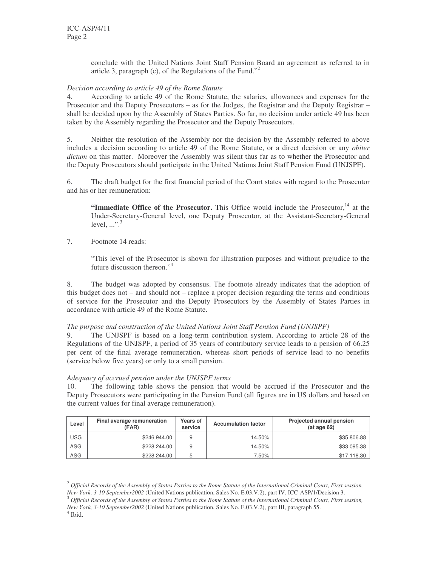conclude with the United Nations Joint Staff Pension Board an agreement as referred to in article 3, paragraph (c), of the Regulations of the Fund."<sup>2</sup>

#### *Decision according to article 49 of the Rome Statute*

4. According to article 49 of the Rome Statute, the salaries, allowances and expenses for the Prosecutor and the Deputy Prosecutors – as for the Judges, the Registrar and the Deputy Registrar – shall be decided upon by the Assembly of States Parties. So far, no decision under article 49 has been taken by the Assembly regarding the Prosecutor and the Deputy Prosecutors.

5. Neither the resolution of the Assembly nor the decision by the Assembly referred to above includes a decision according to article 49 of the Rome Statute, or a direct decision or any *obiter dictum* on this matter. Moreover the Assembly was silent thus far as to whether the Prosecutor and the Deputy Prosecutors should participate in the United Nations Joint Staff Pension Fund (UNJSPF).

6. The draft budget for the first financial period of the Court states with regard to the Prosecutor and his or her remuneration:

**"Immediate Office of the Prosecutor.** This Office would include the Prosecutor,<sup>14</sup> at the Under-Secretary-General level, one Deputy Prosecutor, at the Assistant-Secretary-General level,  $\mathbb{R}^3$ 

7. Footnote 14 reads:

"This level of the Prosecutor is shown for illustration purposes and without prejudice to the future discussion thereon." 4

8. The budget was adopted by consensus. The footnote already indicates that the adoption of this budget does not – and should not – replace a proper decision regarding the terms and conditions of service for the Prosecutor and the Deputy Prosecutors by the Assembly of States Parties in accordance with article 49 of the Rome Statute.

#### *The purpose and construction of the United Nations Joint Staff Pension Fund (UNJSPF)*

9. The UNJSPF is based on a long-term contribution system. According to article 28 of the Regulations of the UNJSPF, a period of 35 years of contributory service leads to a pension of 66.25 per cent of the final average remuneration, whereas short periods of service lead to no benefits (service below five years) or only to a small pension.

#### *Adequacy of accrued pension under the UNJSPF terms*

10. The following table shows the pension that would be accrued if the Prosecutor and the Deputy Prosecutors were participating in the Pension Fund (all figures are in US dollars and based on the current values for final average remuneration).

| Level      | Final average remuneration<br>(FAR) | <b>Years of</b><br>service | <b>Accumulation factor</b> | Projected annual pension<br>$(at \, aq \, e \, 62)$ |  |
|------------|-------------------------------------|----------------------------|----------------------------|-----------------------------------------------------|--|
| USG        | \$246 944.00                        | 9                          | 14.50%                     | \$35 806.88                                         |  |
| ASG        | \$228 244.00                        | 9                          | 14.50%                     | \$33 095.38                                         |  |
| <b>ASG</b> | \$228 244.00                        | b                          | 7.50%                      | \$17 118.30                                         |  |

 $^2$  Official Records of the Assembly of States Parties to the Rome Statute of the International Criminal Court, First session, *New York, 3-10 September2002* (United Nations publication, Sales No. E.03.V.2), part IV, ICC-ASP/1/Decision 3.

4 Ibid.

 $^3$  Official Records of the Assembly of States Parties to the Rome Statute of the International Criminal Court, First session, *New York, 3-10 September2002* (United Nations publication, Sales No. E.03.V.2), part III, paragraph 55.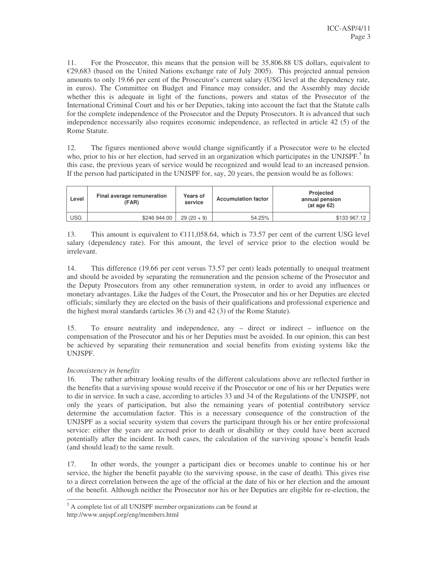11. For the Prosecutor, this means that the pension will be 35,806.88 US dollars, equivalent to €29,683 (based on the United Nations exchange rate of July 2005). This projected annual pension amounts to only 19.66 per cent of the Prosecutor's current salary (USG level at the dependency rate, in euros). The Committee on Budget and Finance may consider, and the Assembly may decide whether this is adequate in light of the functions, powers and status of the Prosecutor of the International Criminal Court and his or her Deputies, taking into account the fact that the Statute calls for the complete independence of the Prosecutor and the Deputy Prosecutors. It is advanced that such independence necessarily also requires economic independence, as reflected in article 42 (5) of the Rome Statute.

12. The figures mentioned above would change significantly if a Prosecutor were to be elected who, prior to his or her election, had served in an organization which participates in the UNJSPF.<sup>5</sup> In this case, the previous years of service would be recognized and would lead to an increased pension. If the person had participated in the UNJSPF for, say, 20 years, the pension would be as follows:

| Level | Final average remuneration<br>(FAR) | Years of<br>service | <b>Accumulation factor</b> | Projected<br>annual pension<br>$(at \, aq \, e \, 62)$ |  |
|-------|-------------------------------------|---------------------|----------------------------|--------------------------------------------------------|--|
| USG   | \$246 944.00                        | $29(20+9)$          | 54.25%                     | \$133 967.12                                           |  |

13. This amount is equivalent to  $\text{\textsterling}11,058.64$ , which is 73.57 per cent of the current USG level salary (dependency rate). For this amount, the level of service prior to the election would be irrelevant.

14. This difference (19.66 per cent versus 73.57 per cent) leads potentially to unequal treatment and should be avoided by separating the remuneration and the pension scheme of the Prosecutor and the Deputy Prosecutors from any other remuneration system, in order to avoid any influences or monetary advantages. Like the Judges of the Court, the Prosecutor and his or her Deputies are elected officials; similarly they are elected on the basis of their qualifications and professional experience and the highest moral standards (articles 36 (3) and 42 (3) of the Rome Statute).

15. To ensure neutrality and independence, any – direct or indirect – influence on the compensation of the Prosecutor and his or her Deputies must be avoided. In our opinion, this can best be achieved by separating their remuneration and social benefits from existing systems like the UNJSPF.

### *Inconsistency in benefits*

16. The rather arbitrary looking results of the different calculations above are reflected further in the benefits that a surviving spouse would receive if the Prosecutor or one of his or her Deputies were to die in service. In such a case, according to articles 33 and 34 of the Regulations of the UNJSPF, not only the years of participation, but also the remaining years of potential contributory service determine the accumulation factor. This is a necessary consequence of the construction of the UNJSPF as a social security system that covers the participant through his or her entire professional service: either the years are accrued prior to death or disability or they could have been accrued potentially after the incident. In both cases, the calculation of the surviving spouse's benefit leads (and should lead) to the same result.

17. In other words, the younger a participant dies or becomes unable to continue his or her service, the higher the benefit payable (to the surviving spouse, in the case of death). This gives rise to a direct correlation between the age of the official at the date of his or her election and the amount of the benefit. Although neither the Prosecutor nor his or her Deputies are eligible for re-election, the

<sup>5</sup> A complete list of all UNJSPF member organizations can be found at http://www.unjspf.org/eng/members.html